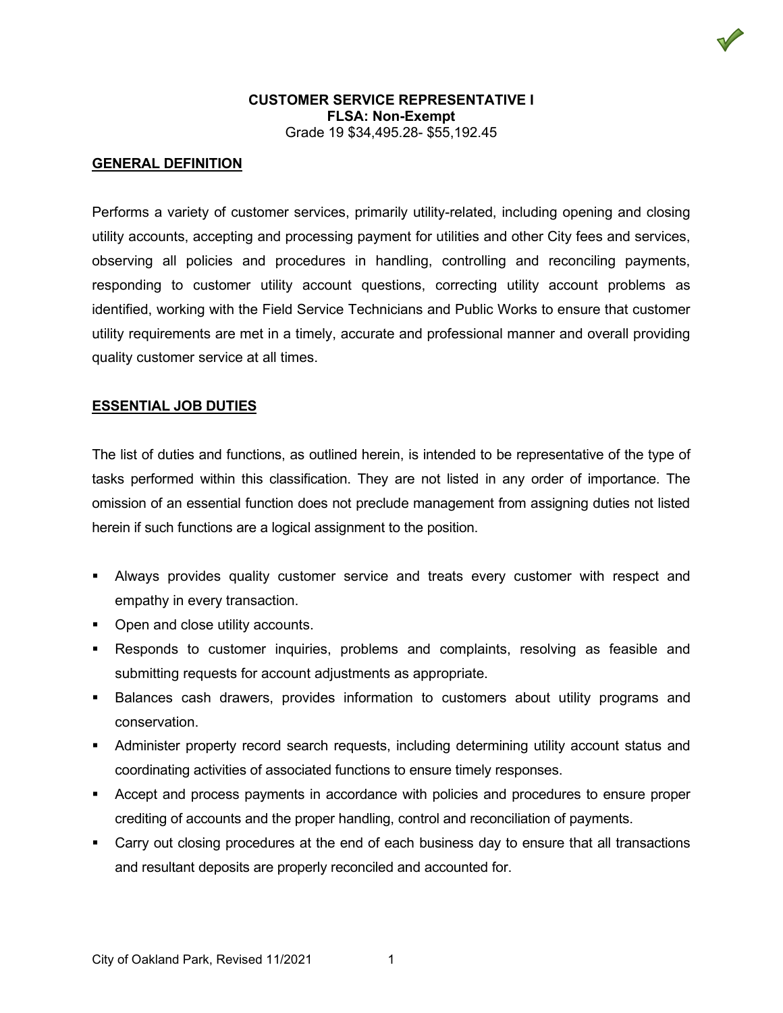### **GENERAL DEFINITION**

Performs a variety of customer services, primarily utility-related, including opening and closing utility accounts, accepting and processing payment for utilities and other City fees and services, observing all policies and procedures in handling, controlling and reconciling payments, responding to customer utility account questions, correcting utility account problems as identified, working with the Field Service Technicians and Public Works to ensure that customer utility requirements are met in a timely, accurate and professional manner and overall providing quality customer service at all times.

#### **ESSENTIAL JOB DUTIES**

The list of duties and functions, as outlined herein, is intended to be representative of the type of tasks performed within this classification. They are not listed in any order of importance. The omission of an essential function does not preclude management from assigning duties not listed herein if such functions are a logical assignment to the position.

- Always provides quality customer service and treats every customer with respect and empathy in every transaction.
- Open and close utility accounts.
- Responds to customer inquiries, problems and complaints, resolving as feasible and submitting requests for account adjustments as appropriate.
- Balances cash drawers, provides information to customers about utility programs and conservation.
- Administer property record search requests, including determining utility account status and coordinating activities of associated functions to ensure timely responses.
- **Accept and process payments in accordance with policies and procedures to ensure proper** crediting of accounts and the proper handling, control and reconciliation of payments.
- Carry out closing procedures at the end of each business day to ensure that all transactions and resultant deposits are properly reconciled and accounted for.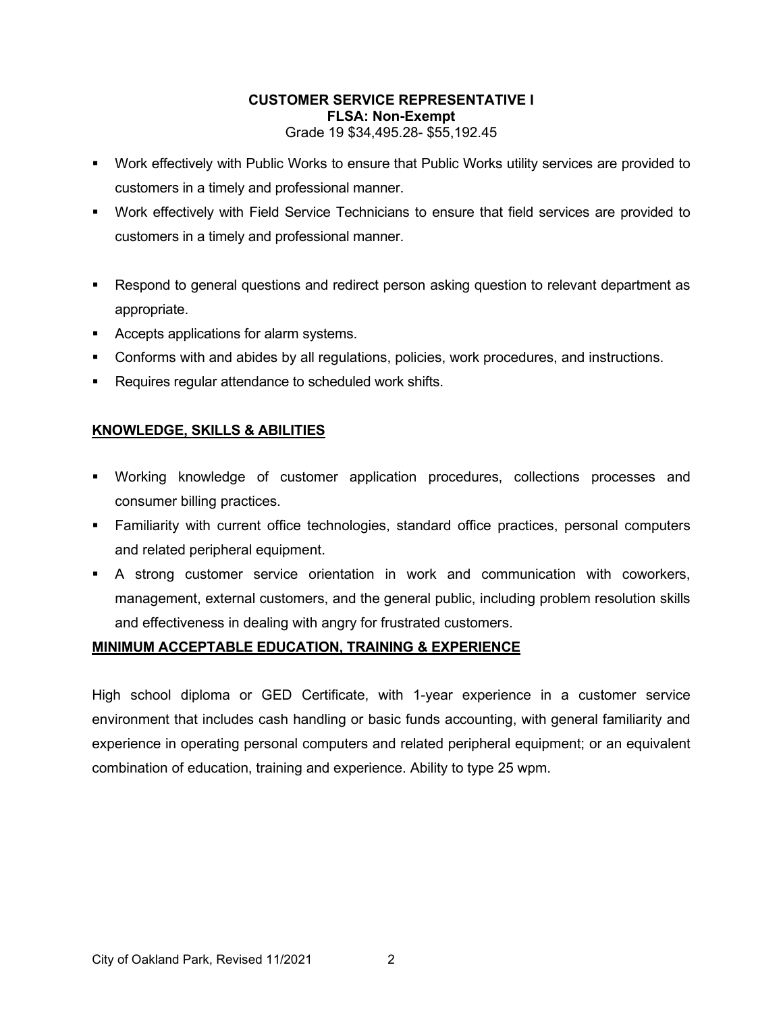- Work effectively with Public Works to ensure that Public Works utility services are provided to customers in a timely and professional manner.
- Work effectively with Field Service Technicians to ensure that field services are provided to customers in a timely and professional manner.
- Respond to general questions and redirect person asking question to relevant department as appropriate.
- Accepts applications for alarm systems.
- Conforms with and abides by all regulations, policies, work procedures, and instructions.
- **Requires requiar attendance to scheduled work shifts.**

# **KNOWLEDGE, SKILLS & ABILITIES**

- Working knowledge of customer application procedures, collections processes and consumer billing practices.
- Familiarity with current office technologies, standard office practices, personal computers and related peripheral equipment.
- A strong customer service orientation in work and communication with coworkers, management, external customers, and the general public, including problem resolution skills and effectiveness in dealing with angry for frustrated customers.

# **MINIMUM ACCEPTABLE EDUCATION, TRAINING & EXPERIENCE**

High school diploma or GED Certificate, with 1-year experience in a customer service environment that includes cash handling or basic funds accounting, with general familiarity and experience in operating personal computers and related peripheral equipment; or an equivalent combination of education, training and experience. Ability to type 25 wpm.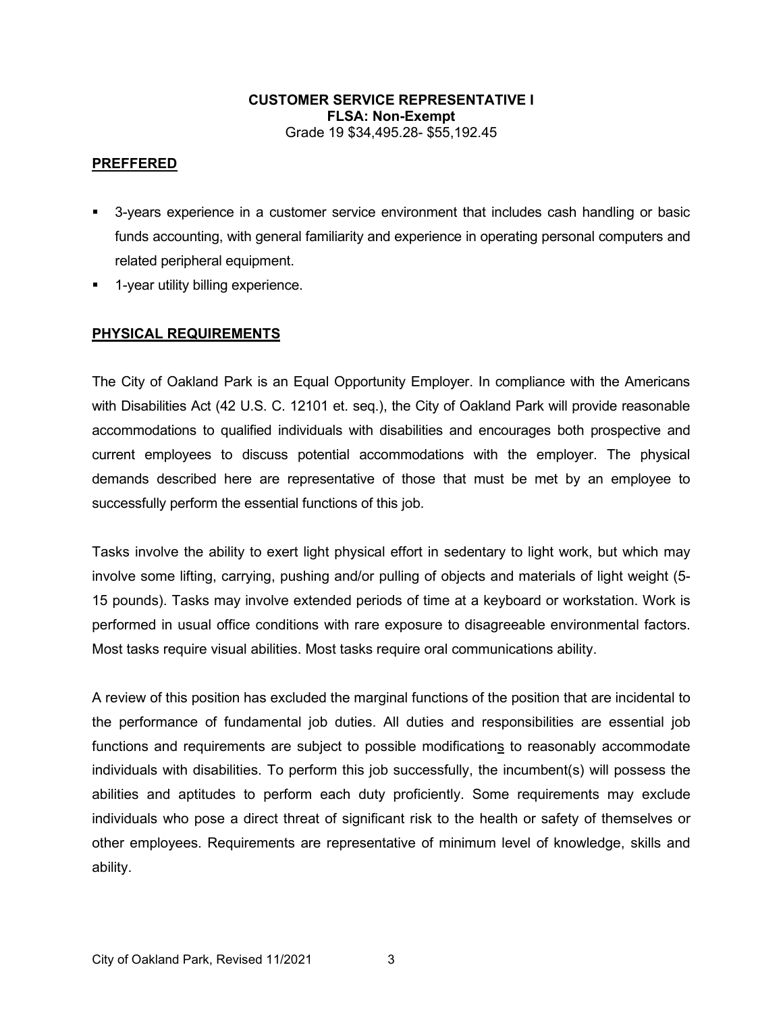### **PREFFERED**

- 3-years experience in a customer service environment that includes cash handling or basic funds accounting, with general familiarity and experience in operating personal computers and related peripheral equipment.
- **-** 1-year utility billing experience.

## **PHYSICAL REQUIREMENTS**

The City of Oakland Park is an Equal Opportunity Employer. In compliance with the Americans with Disabilities Act (42 U.S. C. 12101 et. seq.), the City of Oakland Park will provide reasonable accommodations to qualified individuals with disabilities and encourages both prospective and current employees to discuss potential accommodations with the employer. The physical demands described here are representative of those that must be met by an employee to successfully perform the essential functions of this job.

Tasks involve the ability to exert light physical effort in sedentary to light work, but which may involve some lifting, carrying, pushing and/or pulling of objects and materials of light weight (5- 15 pounds). Tasks may involve extended periods of time at a keyboard or workstation. Work is performed in usual office conditions with rare exposure to disagreeable environmental factors. Most tasks require visual abilities. Most tasks require oral communications ability.

A review of this position has excluded the marginal functions of the position that are incidental to the performance of fundamental job duties. All duties and responsibilities are essential job functions and requirements are subject to possible modifications to reasonably accommodate individuals with disabilities. To perform this job successfully, the incumbent(s) will possess the abilities and aptitudes to perform each duty proficiently. Some requirements may exclude individuals who pose a direct threat of significant risk to the health or safety of themselves or other employees. Requirements are representative of minimum level of knowledge, skills and ability.